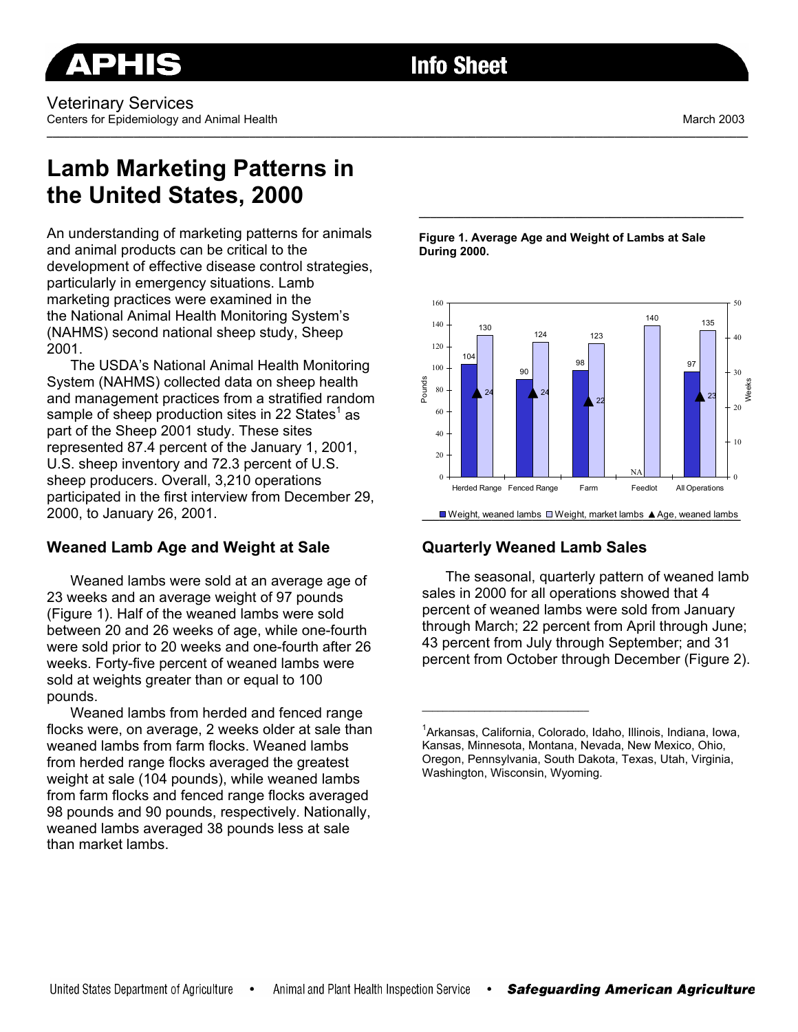**\_\_\_\_\_\_\_\_\_\_\_\_\_\_\_\_\_\_\_\_\_\_\_\_\_\_\_\_\_\_\_\_\_\_\_\_\_\_\_\_\_\_\_\_\_\_\_\_\_\_\_\_\_\_\_\_\_\_\_\_\_\_\_\_\_\_\_\_\_\_\_\_\_\_\_\_\_\_\_\_\_\_\_\_\_\_\_\_\_\_\_\_\_\_\_\_\_\_\_\_\_\_\_\_\_\_\_\_\_\_\_\_\_\_\_\_\_\_\_\_\_** 

# **Lamb Marketing Patterns in the United States, 2000**

An understanding of marketing patterns for animals and animal products can be critical to the development of effective disease control strategies, particularly in emergency situations. Lamb marketing practices were examined in the the National Animal Health Monitoring System's (NAHMS) second national sheep study, Sheep 2001.

The USDA's National Animal Health Monitoring System (NAHMS) collected data on sheep health and management practices from a stratified random sample of sheep production sites in 22 States<sup>1</sup> as part of the Sheep 2001 study. These sites represented 87.4 percent of the January 1, 2001, U.S. sheep inventory and 72.3 percent of U.S. sheep producers. Overall, 3,210 operations participated in the first interview from December 29, 2000, to January 26, 2001.

# **Weaned Lamb Age and Weight at Sale**

Weaned lambs were sold at an average age of 23 weeks and an average weight of 97 pounds (Figure 1). Half of the weaned lambs were sold between 20 and 26 weeks of age, while one-fourth were sold prior to 20 weeks and one-fourth after 26 weeks. Forty-five percent of weaned lambs were sold at weights greater than or equal to 100 pounds.

Weaned lambs from herded and fenced range flocks were, on average, 2 weeks older at sale than weaned lambs from farm flocks. Weaned lambs from herded range flocks averaged the greatest weight at sale (104 pounds), while weaned lambs from farm flocks and fenced range flocks averaged 98 pounds and 90 pounds, respectively. Nationally, weaned lambs averaged 38 pounds less at sale than market lambs.

**Figure 1. Average Age and Weight of Lambs at Sale During 2000.** 

**\_\_\_\_\_\_\_\_\_\_\_\_\_\_\_\_\_\_\_\_\_\_\_\_\_\_\_\_\_\_\_\_\_\_\_\_\_\_\_\_\_\_\_\_\_\_\_\_\_\_\_\_\_\_\_\_** 



# **Quarterly Weaned Lamb Sales**

**\_\_\_\_\_\_\_\_\_\_\_\_\_\_\_\_\_\_\_\_\_\_\_\_\_\_\_\_\_\_\_\_** 

The seasonal, quarterly pattern of weaned lamb sales in 2000 for all operations showed that 4 percent of weaned lambs were sold from January through March; 22 percent from April through June; 43 percent from July through September; and 31 percent from October through December (Figure 2).

<sup>1</sup> Arkansas, California, Colorado, Idaho, Illinois, Indiana, Iowa, Kansas, Minnesota, Montana, Nevada, New Mexico, Ohio, Oregon, Pennsylvania, South Dakota, Texas, Utah, Virginia, Washington, Wisconsin, Wyoming.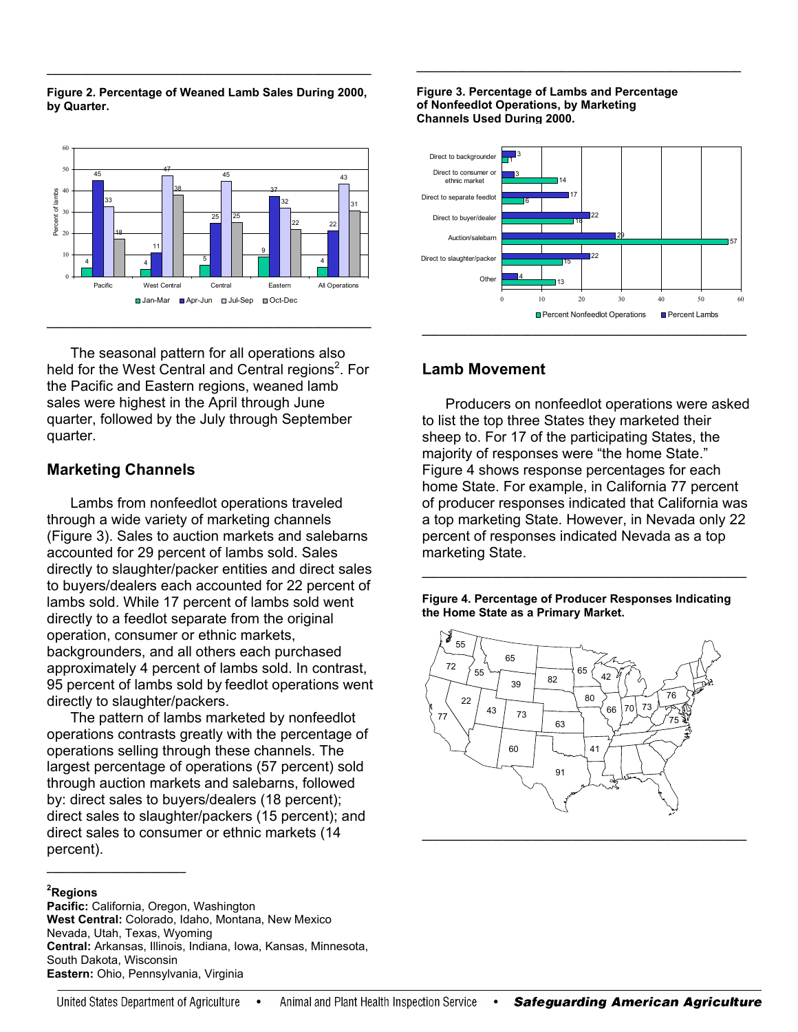

**\_\_\_\_\_\_\_\_\_\_\_\_\_\_\_\_\_\_\_\_\_\_\_\_\_\_\_\_\_\_\_\_\_\_\_\_\_\_\_\_\_\_\_\_\_\_\_\_\_\_\_\_\_\_\_\_** 



The seasonal pattern for all operations also held for the West Central and Central regions<sup>2</sup>. For the Pacific and Eastern regions, weaned lamb sales were highest in the April through June quarter, followed by the July through September quarter.

### **Marketing Channels**

Lambs from nonfeedlot operations traveled through a wide variety of marketing channels (Figure 3). Sales to auction markets and salebarns accounted for 29 percent of lambs sold. Sales directly to slaughter/packer entities and direct sales to buyers/dealers each accounted for 22 percent of lambs sold. While 17 percent of lambs sold went directly to a feedlot separate from the original operation, consumer or ethnic markets, backgrounders, and all others each purchased approximately 4 percent of lambs sold. In contrast, 95 percent of lambs sold by feedlot operations went directly to slaughter/packers.

The pattern of lambs marketed by nonfeedlot operations contrasts greatly with the percentage of operations selling through these channels. The largest percentage of operations (57 percent) sold through auction markets and salebarns, followed by: direct sales to buyers/dealers (18 percent); direct sales to slaughter/packers (15 percent); and direct sales to consumer or ethnic markets (14 percent).

#### **2 Regions**

**\_\_\_\_\_\_\_\_\_\_\_\_\_\_\_\_\_\_\_\_\_\_\_\_** 

**Pacific:** California, Oregon, Washington **West Central:** Colorado, Idaho, Montana, New Mexico Nevada, Utah, Texas, Wyoming **Central:** Arkansas, Illinois, Indiana, Iowa, Kansas, Minnesota, South Dakota, Wisconsin **Eastern:** Ohio, Pennsylvania, Virginia

#### **Figure 3. Percentage of Lambs and Percentage of Nonfeedlot Operations, by Marketing Channels Used During 2000.**



**\_\_\_\_\_\_\_\_\_\_\_\_\_\_\_\_\_\_\_\_\_\_\_\_\_\_\_\_\_\_\_\_\_\_\_\_\_\_\_\_\_\_\_\_\_\_\_\_\_\_\_\_\_\_\_\_** 

## **Lamb Movement**

Producers on nonfeedlot operations were asked to list the top three States they marketed their sheep to. For 17 of the participating States, the majority of responses were "the home State." Figure 4 shows response percentages for each home State. For example, in California 77 percent of producer responses indicated that California was a top marketing State. However, in Nevada only 22 percent of responses indicated Nevada as a top marketing State.

**Figure 4. Percentage of Producer Responses Indicating the Home State as a Primary Market.** 

**\_\_\_\_\_\_\_\_\_\_\_\_\_\_\_\_\_\_\_\_\_\_\_\_\_\_\_\_\_\_\_\_\_\_\_\_\_\_\_\_\_\_\_\_\_\_\_\_\_\_\_\_\_\_\_\_**